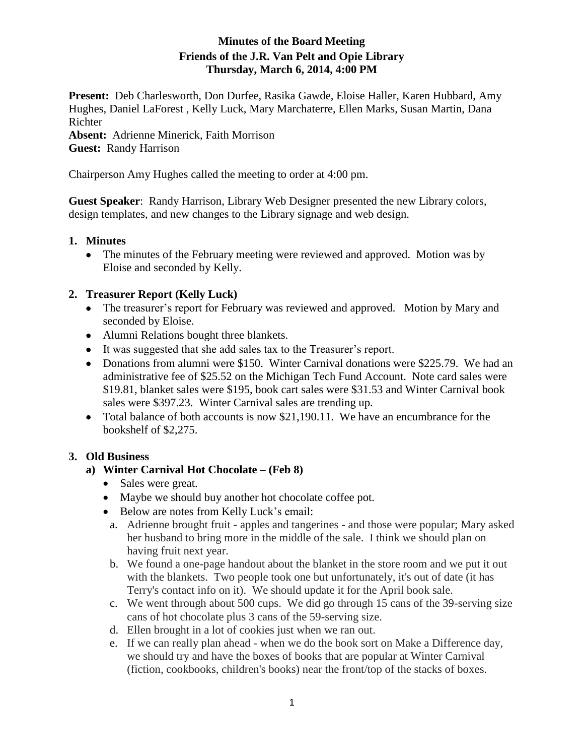# **Minutes of the Board Meeting Friends of the J.R. Van Pelt and Opie Library Thursday, March 6, 2014, 4:00 PM**

**Present:** Deb Charlesworth, Don Durfee, Rasika Gawde, Eloise Haller, Karen Hubbard, Amy Hughes, Daniel LaForest , Kelly Luck, Mary Marchaterre, Ellen Marks, Susan Martin, Dana Richter **Absent:** Adrienne Minerick, Faith Morrison **Guest:** Randy Harrison

Chairperson Amy Hughes called the meeting to order at 4:00 pm.

**Guest Speaker**: Randy Harrison, Library Web Designer presented the new Library colors, design templates, and new changes to the Library signage and web design.

## **1. Minutes**

• The minutes of the February meeting were reviewed and approved. Motion was by Eloise and seconded by Kelly.

## **2. Treasurer Report (Kelly Luck)**

- The treasurer's report for February was reviewed and approved. Motion by Mary and seconded by Eloise.
- Alumni Relations bought three blankets.
- It was suggested that she add sales tax to the Treasurer's report.
- Donations from alumni were \$150. Winter Carnival donations were \$225.79. We had an administrative fee of \$25.52 on the Michigan Tech Fund Account. Note card sales were \$19.81, blanket sales were \$195, book cart sales were \$31.53 and Winter Carnival book sales were \$397.23. Winter Carnival sales are trending up.
- Total balance of both accounts is now \$21,190.11. We have an encumbrance for the bookshelf of \$2,275.

## **3. Old Business**

#### **a) Winter Carnival Hot Chocolate – (Feb 8)**

- Sales were great.
- Maybe we should buy another hot chocolate coffee pot.
- Below are notes from Kelly Luck's email:
	- a. Adrienne brought fruit apples and tangerines and those were popular; Mary asked her husband to bring more in the middle of the sale. I think we should plan on having fruit next year.
	- b. We found a one-page handout about the blanket in the store room and we put it out with the blankets. Two people took one but unfortunately, it's out of date (it has Terry's contact info on it). We should update it for the April book sale.
	- c. We went through about 500 cups. We did go through 15 cans of the 39-serving size cans of hot chocolate plus 3 cans of the 59-serving size.
	- d. Ellen brought in a lot of cookies just when we ran out.
	- e. If we can really plan ahead when we do the book sort on Make a Difference day, we should try and have the boxes of books that are popular at Winter Carnival (fiction, cookbooks, children's books) near the front/top of the stacks of boxes.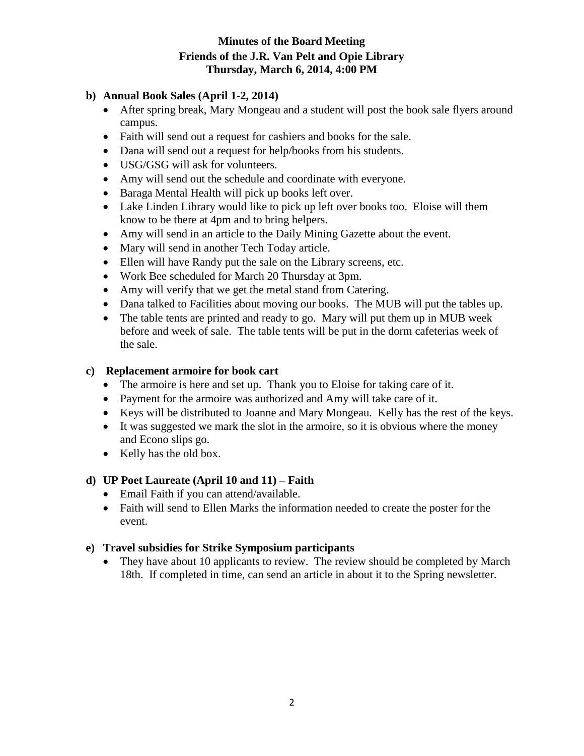# **Minutes of the Board Meeting Friends of the J.R. Van Pelt and Opie Library Thursday, March 6, 2014, 4:00 PM**

# **b) Annual Book Sales (April 1-2, 2014)**

- After spring break, Mary Mongeau and a student will post the book sale flyers around campus.
- Faith will send out a request for cashiers and books for the sale.
- Dana will send out a request for help/books from his students.
- USG/GSG will ask for volunteers.
- Amy will send out the schedule and coordinate with everyone.
- Baraga Mental Health will pick up books left over.
- Lake Linden Library would like to pick up left over books too. Eloise will them know to be there at 4pm and to bring helpers.
- Amy will send in an article to the Daily Mining Gazette about the event.
- Mary will send in another Tech Today article.
- Ellen will have Randy put the sale on the Library screens, etc.
- Work Bee scheduled for March 20 Thursday at 3pm.
- Amy will verify that we get the metal stand from Catering.
- Dana talked to Facilities about moving our books. The MUB will put the tables up.
- The table tents are printed and ready to go. Mary will put them up in MUB week before and week of sale. The table tents will be put in the dorm cafeterias week of the sale.

## **c) Replacement armoire for book cart**

- The armoire is here and set up. Thank you to Eloise for taking care of it.
- Payment for the armoire was authorized and Amy will take care of it.
- Keys will be distributed to Joanne and Mary Mongeau. Kelly has the rest of the keys.
- It was suggested we mark the slot in the armoire, so it is obvious where the money and Econo slips go.
- Kelly has the old box.

# **d) UP Poet Laureate (April 10 and 11) – Faith**

- Email Faith if you can attend/available.
- Faith will send to Ellen Marks the information needed to create the poster for the event.

## **e) Travel subsidies for Strike Symposium participants**

• They have about 10 applicants to review. The review should be completed by March 18th. If completed in time, can send an article in about it to the Spring newsletter.